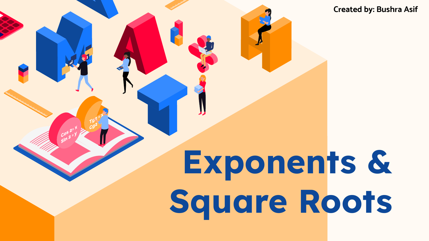**Created by: Bushra Asif**

# **Exponents & Square Roots**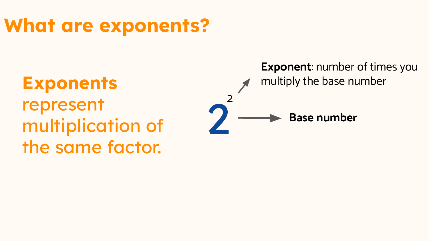## **What are exponents?**

2 2 **Exponents** represent multiplication of the same factor.

**Exponent**: number of times you multiply the base number

**Base number**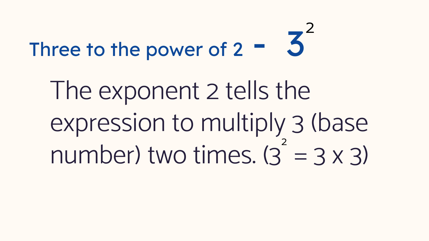## Three to the power of  $2 - 3$ 2

The exponent 2 tells the expression to multiply 3 (base number) two times.  $(3 = 3 \times 3)$ 2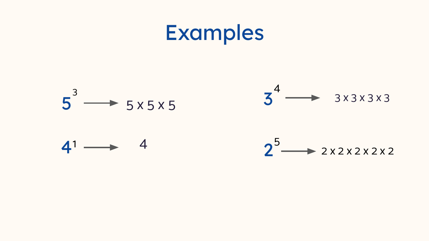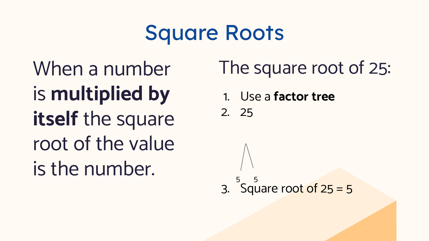# Square Roots

When a number is **multiplied by**  itself the square root of the value is the number.

The square root of 25:

1. Use a **factor tree** 

2. 25

3. Square root of 25 = 5  $5$  5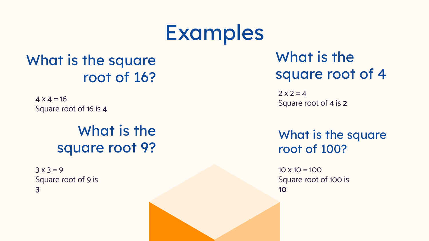## Examples

#### What is the square root of 16?

 $4 \times 4 = 16$ Square root of 16 is **4**

#### What is the square root 9?

 $3 \times 3 = 9$ Square root of 9 is **3** 

What is the square root of 4

 $2 \times 2 = 4$ Square root of 4 is **2**

What is the square root of 100?

 $10 \times 10 = 100$ Square root of 100 is **10**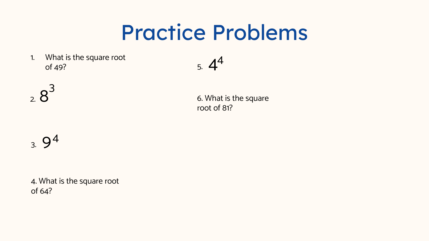# Practice Problems

1. What is the square root of 49?

$$
5. \, 4^4
$$

 $2.8$ 3

6. What is the square root of 81?

### $3.9<sup>4</sup>$

4. What is the square root of 64?